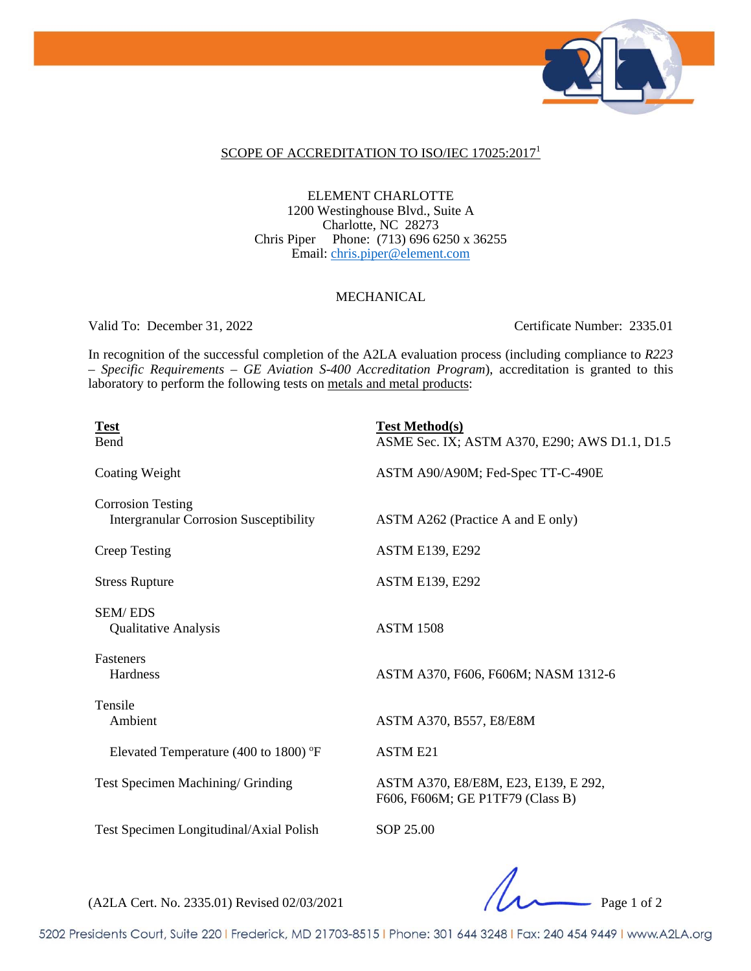

### SCOPE OF ACCREDITATION TO ISO/IEC 17025:2017<sup>1</sup>

ELEMENT CHARLOTTE 1200 Westinghouse Blvd., Suite A Charlotte, NC 28273 Chris Piper Phone: (713) 696 6250 x 36255 Email: chris.piper@element.com

### MECHANICAL

Valid To: December 31, 2022 Certificate Number: 2335.01

In recognition of the successful completion of the A2LA evaluation process (including compliance to *R223 – Specific Requirements – GE Aviation S-400 Accreditation Program*), accreditation is granted to this laboratory to perform the following tests on metals and metal products:

| <b>Test</b><br>Bend                                                       | <b>Test Method(s)</b><br>ASME Sec. IX; ASTM A370, E290; AWS D1.1, D1.5   |
|---------------------------------------------------------------------------|--------------------------------------------------------------------------|
| Coating Weight                                                            | ASTM A90/A90M; Fed-Spec TT-C-490E                                        |
| <b>Corrosion Testing</b><br><b>Intergranular Corrosion Susceptibility</b> | ASTM A262 (Practice A and E only)                                        |
| <b>Creep Testing</b>                                                      | <b>ASTM E139, E292</b>                                                   |
| <b>Stress Rupture</b>                                                     | <b>ASTM E139, E292</b>                                                   |
| <b>SEM/EDS</b><br><b>Qualitative Analysis</b>                             | <b>ASTM 1508</b>                                                         |
| Fasteners<br>Hardness                                                     | ASTM A370, F606, F606M; NASM 1312-6                                      |
| Tensile<br>Ambient                                                        | ASTM A370, B557, E8/E8M                                                  |
| Elevated Temperature (400 to 1800) °F                                     | <b>ASTM E21</b>                                                          |
| Test Specimen Machining/ Grinding                                         | ASTM A370, E8/E8M, E23, E139, E 292,<br>F606, F606M; GE P1TF79 (Class B) |
| Test Specimen Longitudinal/Axial Polish                                   | SOP 25.00                                                                |
|                                                                           |                                                                          |

(A2LA Cert. No. 2335.01) Revised 02/03/2021 Page 1 of 2

5202 Presidents Court, Suite 220 | Frederick, MD 21703-8515 | Phone: 301 644 3248 | Fax: 240 454 9449 | www.A2LA.org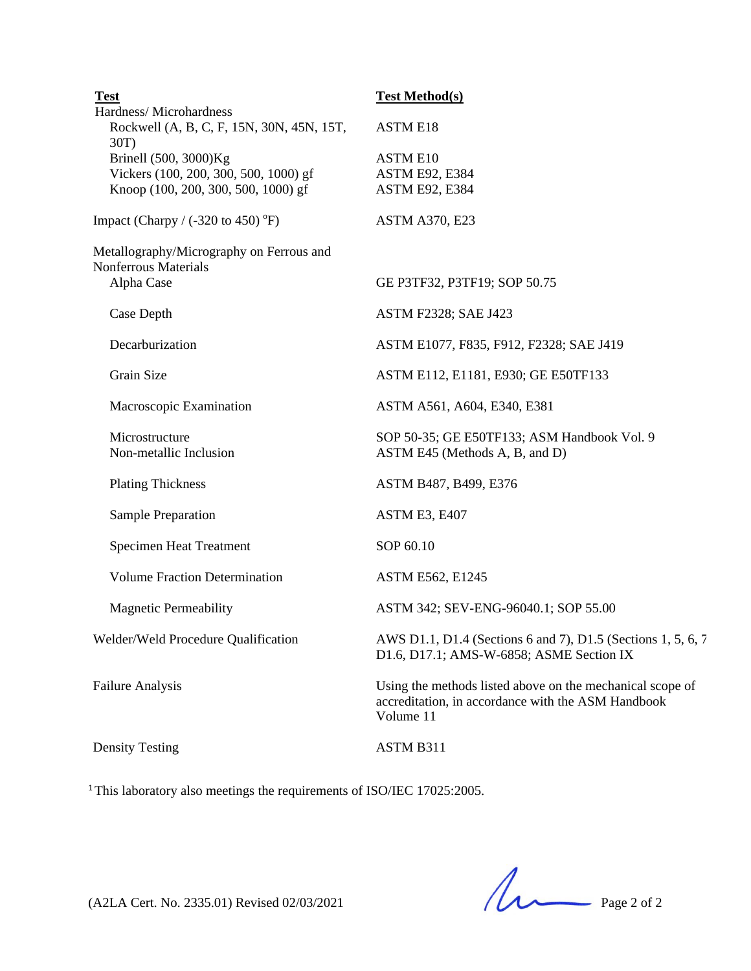| <b>Test</b>                                                                                                   | <b>Test Method(s)</b>                                                                                                        |
|---------------------------------------------------------------------------------------------------------------|------------------------------------------------------------------------------------------------------------------------------|
| Hardness/Microhardness<br>Rockwell (A, B, C, F, 15N, 30N, 45N, 15T,                                           | <b>ASTM E18</b>                                                                                                              |
| 30T)<br>Brinell (500, 3000)Kg<br>Vickers (100, 200, 300, 500, 1000) gf<br>Knoop (100, 200, 300, 500, 1000) gf | <b>ASTM E10</b><br><b>ASTM E92, E384</b><br><b>ASTM E92, E384</b>                                                            |
| Impact (Charpy / $(-320 \text{ to } 450)$ °F)                                                                 | <b>ASTM A370, E23</b>                                                                                                        |
| Metallography/Micrography on Ferrous and<br><b>Nonferrous Materials</b><br>Alpha Case                         | GE P3TF32, P3TF19; SOP 50.75                                                                                                 |
| Case Depth                                                                                                    | ASTM F2328; SAE J423                                                                                                         |
| Decarburization                                                                                               | ASTM E1077, F835, F912, F2328; SAE J419                                                                                      |
| Grain Size                                                                                                    | ASTM E112, E1181, E930; GE E50TF133                                                                                          |
| Macroscopic Examination                                                                                       | ASTM A561, A604, E340, E381                                                                                                  |
| Microstructure<br>Non-metallic Inclusion                                                                      | SOP 50-35; GE E50TF133; ASM Handbook Vol. 9<br>ASTM E45 (Methods A, B, and D)                                                |
| <b>Plating Thickness</b>                                                                                      | ASTM B487, B499, E376                                                                                                        |
| Sample Preparation                                                                                            | ASTM E3, E407                                                                                                                |
| <b>Specimen Heat Treatment</b>                                                                                | SOP 60.10                                                                                                                    |
| <b>Volume Fraction Determination</b>                                                                          | <b>ASTM E562, E1245</b>                                                                                                      |
| <b>Magnetic Permeability</b>                                                                                  | ASTM 342; SEV-ENG-96040.1; SOP 55.00                                                                                         |
| Welder/Weld Procedure Qualification                                                                           | AWS D1.1, D1.4 (Sections 6 and 7), D1.5 (Sections 1, 5, 6, 7<br>D1.6, D17.1; AMS-W-6858; ASME Section IX                     |
| <b>Failure Analysis</b>                                                                                       | Using the methods listed above on the mechanical scope of<br>accreditation, in accordance with the ASM Handbook<br>Volume 11 |
| <b>Density Testing</b>                                                                                        | ASTM B311                                                                                                                    |

<sup>1</sup>This laboratory also meetings the requirements of ISO/IEC 17025:2005.

 $(A2LA$  Cert. No. 2335.01) Revised 02/03/2021 Page 2 of 2